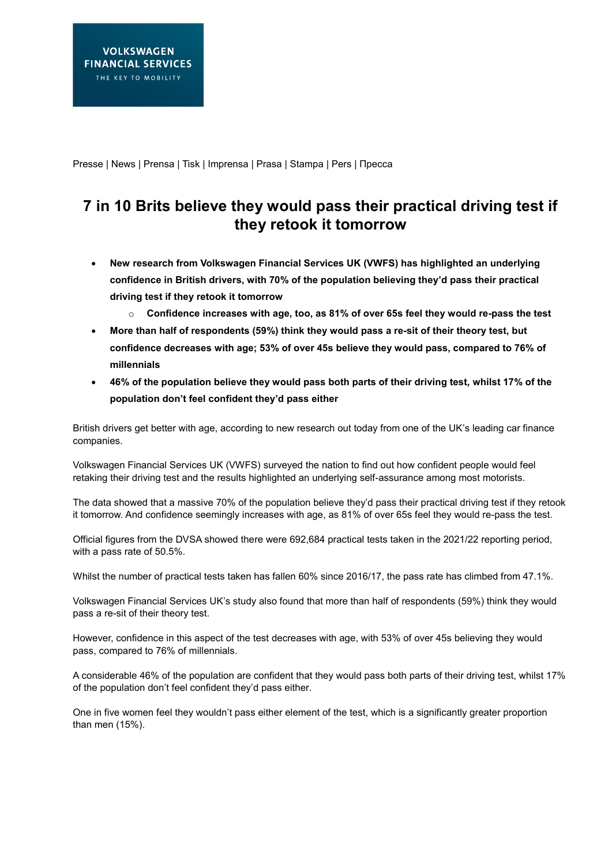Presse | News | Prensa | Tisk | Imprensa | Prasa | Stampa | Pers | Пресса

# **7 in 10 Brits believe they would pass their practical driving test if they retook it tomorrow**

- **New research from Volkswagen Financial Services UK (VWFS) has highlighted an underlying confidence in British drivers, with 70% of the population believing they'd pass their practical driving test if they retook it tomorrow**
	- o **Confidence increases with age, too, as 81% of over 65s feel they would re-pass the test**
- **More than half of respondents (59%) think they would pass a re-sit of their theory test, but confidence decreases with age; 53% of over 45s believe they would pass, compared to 76% of millennials**
- **46% of the population believe they would pass both parts of their driving test, whilst 17% of the population don't feel confident they'd pass either**

British drivers get better with age, according to new research out today from one of the UK's leading car finance companies.

Volkswagen Financial Services UK (VWFS) surveyed the nation to find out how confident people would feel retaking their driving test and the results highlighted an underlying self-assurance among most motorists.

The data showed that a massive 70% of the population believe they'd pass their practical driving test if they retook it tomorrow. And confidence seemingly increases with age, as 81% of over 65s feel they would re-pass the test.

Official figures from the DVSA showed there were 692,684 practical tests taken in the 2021/22 reporting period, with a pass rate of 50.5%.

Whilst the number of practical tests taken has fallen 60% since 2016/17, the pass rate has climbed from 47.1%.

Volkswagen Financial Services UK's study also found that more than half of respondents (59%) think they would pass a re-sit of their theory test.

However, confidence in this aspect of the test decreases with age, with 53% of over 45s believing they would pass, compared to 76% of millennials.

A considerable 46% of the population are confident that they would pass both parts of their driving test, whilst 17% of the population don't feel confident they'd pass either.

One in five women feel they wouldn't pass either element of the test, which is a significantly greater proportion than men (15%).